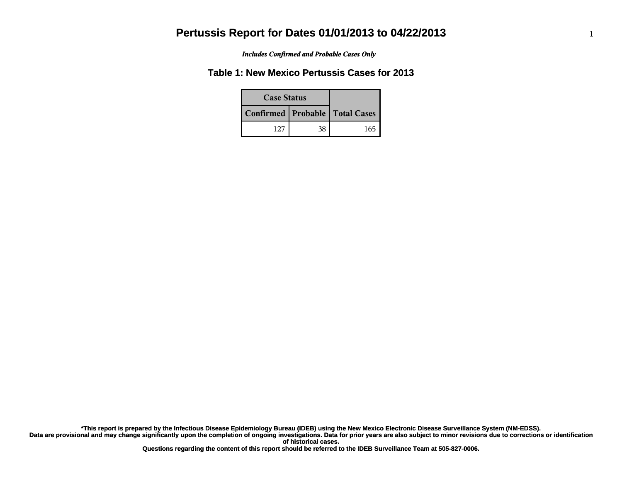*Includes Confirmed and Probable Cases Only*

## **Table 1: New Mexico Pertussis Cases for 2013**

| <b>Case Status</b> |                                    |     |
|--------------------|------------------------------------|-----|
|                    | Confirmed   Probable   Total Cases |     |
| 127                | 38                                 | 165 |

**Data are provisional and may change significantly upon the completion of ongoing investigations. Data for prior years are also subject to minor revisions due to corrections or identification of historical cases. \*This report is prepared by the Infectious Disease Epidemiology Bureau (IDEB) using the New Mexico Electronic Disease Surveillance System (NM-EDSS).**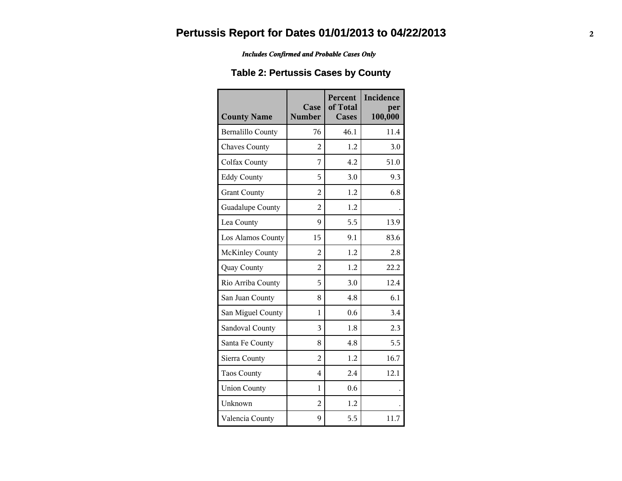#### *Includes Confirmed and Probable Cases Only*

## **Table 2: Pertussis Cases by County**

| <b>County Name</b>       | Case<br><b>Number</b> | Percent<br>of Total<br><b>Cases</b> | Incidence<br>per<br>100,000 |
|--------------------------|-----------------------|-------------------------------------|-----------------------------|
| <b>Bernalillo County</b> | 76                    | 46.1                                | 11.4                        |
| <b>Chaves County</b>     | $\overline{2}$        | 1.2                                 | 3.0                         |
| Colfax County            | 7                     | 4.2                                 | 51.0                        |
| <b>Eddy County</b>       | 5                     | 3.0                                 | 9.3                         |
| <b>Grant County</b>      | $\overline{2}$        | 1.2                                 | 6.8                         |
| Guadalupe County         | $\overline{2}$        | 1.2                                 |                             |
| Lea County               | 9                     | 5.5                                 | 13.9                        |
| Los Alamos County        | 15                    | 9.1                                 | 83.6                        |
| <b>McKinley County</b>   | $\overline{2}$        | 1.2                                 | 2.8                         |
| Quay County              | $\overline{2}$        | 1.2                                 | 22.2                        |
| Rio Arriba County        | 5                     | 3.0                                 | 12.4                        |
| San Juan County          | 8                     | 4.8                                 | 6.1                         |
| San Miguel County        | $\mathbf{1}$          | 0.6                                 | 3.4                         |
| Sandoval County          | 3                     | 1.8                                 | 2.3                         |
| Santa Fe County          | 8                     | 4.8                                 | 5.5                         |
| Sierra County            | $\overline{2}$        | 1.2                                 | 16.7                        |
| <b>Taos County</b>       | 4                     | 2.4                                 | 12.1                        |
| <b>Union County</b>      | 1                     | 0.6                                 |                             |
| Unknown                  | $\overline{2}$        | 1.2                                 |                             |
| Valencia County          | 9                     | 5.5                                 | 11.7                        |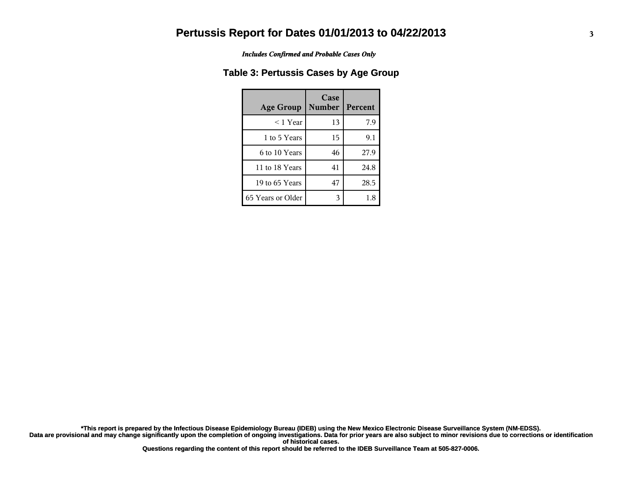*Includes Confirmed and Probable Cases Only*

### **Table 3: Pertussis Cases by Age Group**

| <b>Age Group</b>  | Case<br><b>Number</b> | <b>Percent</b> |
|-------------------|-----------------------|----------------|
| $<$ 1 Year        | 13                    | 7.9            |
| 1 to 5 Years      | 15                    | 9.1            |
| 6 to 10 Years     | 46                    | 27.9           |
| 11 to 18 Years    | 41                    | 24.8           |
| 19 to 65 Years    | 47                    | 28.5           |
| 65 Years or Older | 3                     | 1.8            |

**Data are provisional and may change significantly upon the completion of ongoing investigations. Data for prior years are also subject to minor revisions due to corrections or identification of historical cases. \*This report is prepared by the Infectious Disease Epidemiology Bureau (IDEB) using the New Mexico Electronic Disease Surveillance System (NM-EDSS).**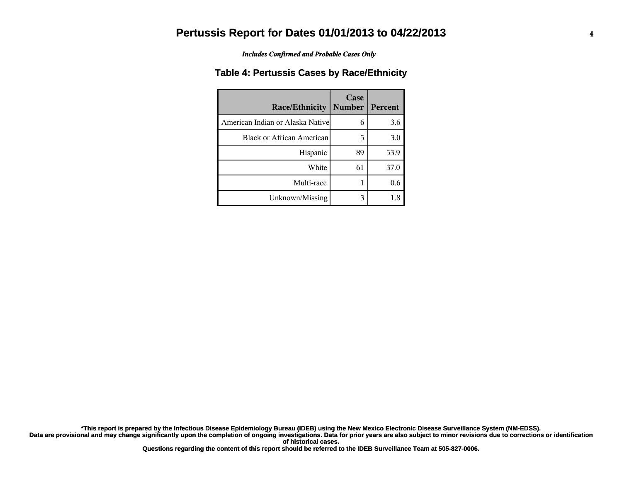*Includes Confirmed and Probable Cases Only*

#### **Table 4: Pertussis Cases by Race/Ethnicity**

| <b>Race/Ethnicity</b>             | Case<br><b>Number</b> | Percent |
|-----------------------------------|-----------------------|---------|
| American Indian or Alaska Nativel | 6                     | 3.6     |
| Black or African American         | 5                     | 3.0     |
| Hispanic                          | 89                    | 53.9    |
| White                             | 61                    | 37.0    |
| Multi-race                        |                       | 0.6     |
| Unknown/Missing                   | 3                     | 1.8     |

**Data are provisional and may change significantly upon the completion of ongoing investigations. Data for prior years are also subject to minor revisions due to corrections or identification of historical cases. \*This report is prepared by the Infectious Disease Epidemiology Bureau (IDEB) using the New Mexico Electronic Disease Surveillance System (NM-EDSS).**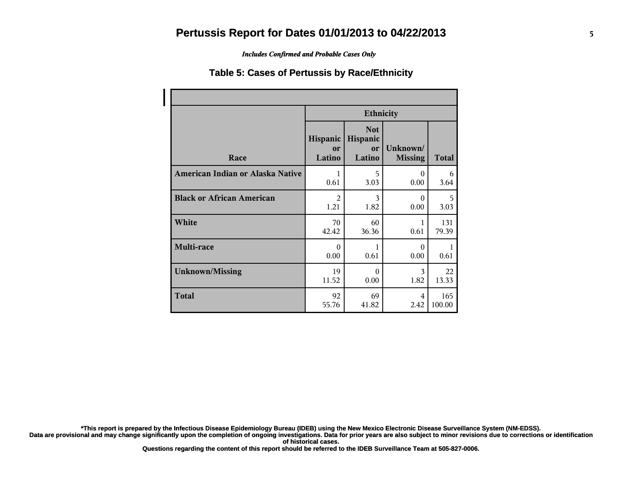*Includes Confirmed and Probable Cases Only*

#### **Table 5: Cases of Pertussis by Race/Ethnicity**

|                                  | <b>Ethnicity</b>         |                                        |                            |        |  |
|----------------------------------|--------------------------|----------------------------------------|----------------------------|--------|--|
| Race                             | Hispanic<br>or<br>Latino | <b>Not</b><br>Hispanic<br>or<br>Latino | Unknown/<br><b>Missing</b> | Total  |  |
| American Indian or Alaska Native | 1                        | 5                                      | $\Omega$                   | 6      |  |
|                                  | 0.61                     | 3.03                                   | 0.00                       | 3.64   |  |
| <b>Black or African American</b> | $\mathfrak{D}$           | 3                                      | $\Omega$                   | 5      |  |
|                                  | 1.21                     | 1.82                                   | 0.00                       | 3.03   |  |
| White                            | 70                       | 60                                     | 1                          | 131    |  |
|                                  | 42.42                    | 36.36                                  | 0.61                       | 79.39  |  |
| Multi-race                       | $\Omega$<br>0.00         | 1<br>0.61                              | $\Omega$<br>0.00           | 0.61   |  |
| <b>Unknown/Missing</b>           | 19                       | $\Omega$                               | 3                          | 22     |  |
|                                  | 11.52                    | 0.00                                   | 1.82                       | 13.33  |  |
| <b>Total</b>                     | 92                       | 69                                     | 4                          | 165    |  |
|                                  | 55.76                    | 41.82                                  | 2.42                       | 100.00 |  |

**\*This report is prepared by the Infectious Disease Epidemiology Bureau (IDEB) using the New Mexico Electronic Disease Surveillance System (NM-EDSS).**

**Data are provisional and may change significantly upon the completion of ongoing investigations. Data for prior years are also subject to minor revisions due to corrections or identification of historical cases.**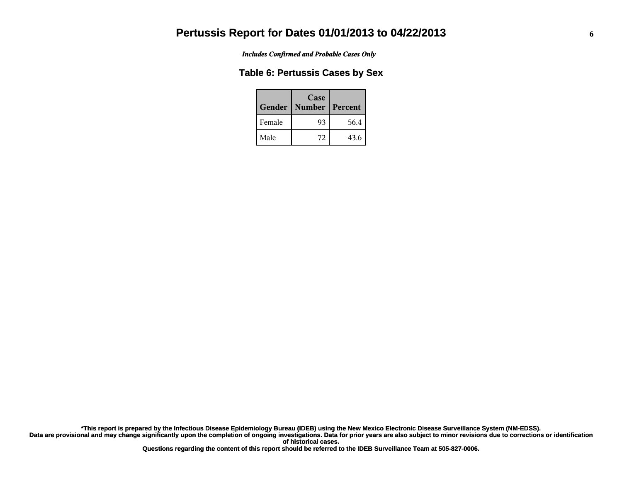*Includes Confirmed and Probable Cases Only*

#### **Table 6: Pertussis Cases by Sex**

| Gender | Case<br><b>Number</b> | Percent |
|--------|-----------------------|---------|
| Female | 93                    | 56.4    |
| Male   | 72                    | 43.6    |

**Data are provisional and may change significantly upon the completion of ongoing investigations. Data for prior years are also subject to minor revisions due to corrections or identification of historical cases. \*This report is prepared by the Infectious Disease Epidemiology Bureau (IDEB) using the New Mexico Electronic Disease Surveillance System (NM-EDSS).**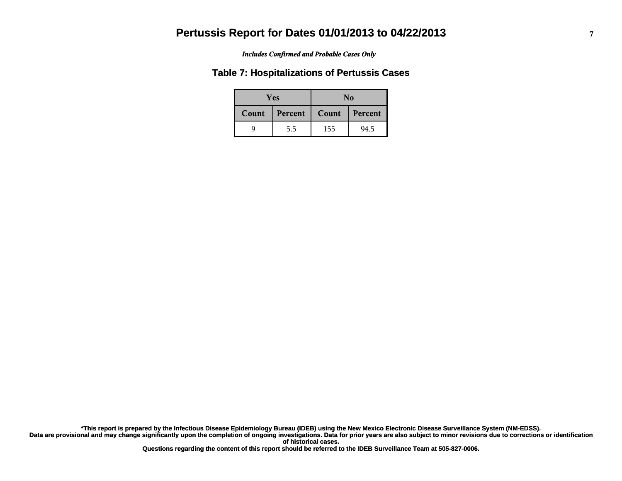#### *Includes Confirmed and Probable Cases Only*

#### **Table 7: Hospitalizations of Pertussis Cases**

|       | <b>Yes</b> | No    |         |  |
|-------|------------|-------|---------|--|
| Count | Percent    | Count | Percent |  |
|       | 5.5        | 155   | 94.5    |  |

**Data are provisional and may change significantly upon the completion of ongoing investigations. Data for prior years are also subject to minor revisions due to corrections or identification of historical cases. \*This report is prepared by the Infectious Disease Epidemiology Bureau (IDEB) using the New Mexico Electronic Disease Surveillance System (NM-EDSS).**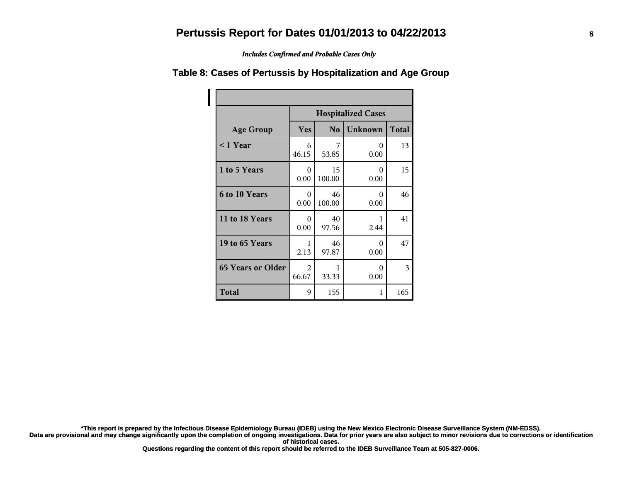*Includes Confirmed and Probable Cases Only*

# **Table 8: Cases of Pertussis by Hospitalization and Age Group**

|                          | <b>Hospitalized Cases</b>                               |              |                  |     |  |  |
|--------------------------|---------------------------------------------------------|--------------|------------------|-----|--|--|
| <b>Age Group</b>         | <b>Unknown</b><br><b>Total</b><br>Yes<br>N <sub>o</sub> |              |                  |     |  |  |
| $<$ 1 Year               | 6<br>46.15                                              | 7<br>53.85   | 0<br>0.00        | 13  |  |  |
| 1 to 5 Years             | 0<br>0.00                                               | 15<br>100.00 | $\Omega$<br>0.00 | 15  |  |  |
| 6 to 10 Years            | 0<br>0.00                                               | 46<br>100.00 | 0<br>0.00        | 46  |  |  |
| 11 to 18 Years           | 0<br>0.00                                               | 40<br>97.56  | 1<br>2.44        | 41  |  |  |
| 19 to 65 Years           | 1<br>2.13                                               | 46<br>97.87  | 0<br>0.00        | 47  |  |  |
| <b>65 Years or Older</b> | 2<br>66.67                                              | 1<br>33.33   | 0<br>0.00        | 3   |  |  |
| <b>Total</b>             | 9                                                       | 155          | 1                | 165 |  |  |

**\*This report is prepared by the Infectious Disease Epidemiology Bureau (IDEB) using the New Mexico Electronic Disease Surveillance System (NM-EDSS).**

Data are provisional and may change significantly upon the completion of ongoing investigations. Data for prior years are also subject to minor revisions due to corrections or identification **of historical cases.**